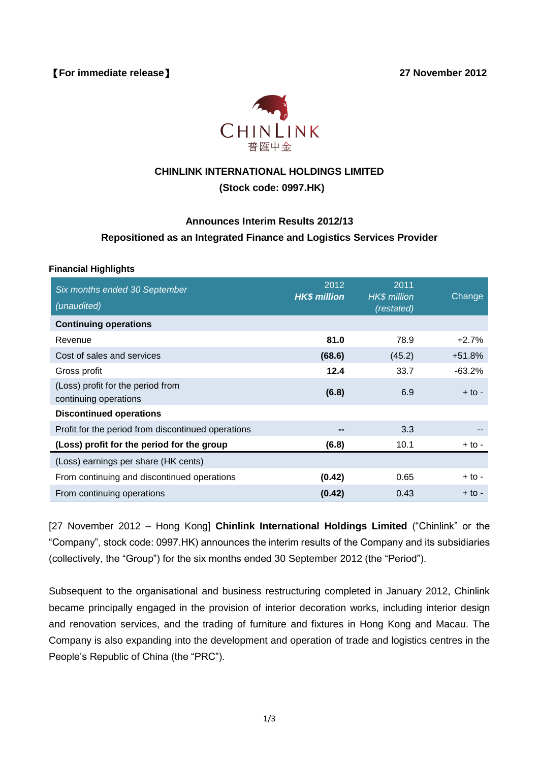【**For immediate release**】 **27 November 2012**



# **CHINLINK INTERNATIONAL HOLDINGS LIMITED**

## **(Stock code: 0997.HK)**

# **Announces Interim Results 2012/13 Repositioned as an Integrated Finance and Logistics Services Provider**

#### **Financial Highlights**

| Six months ended 30 September<br>(unaudited)               | 2012<br><b>HK\$ million</b> | 2011<br><b>HK\$</b> million | Change   |
|------------------------------------------------------------|-----------------------------|-----------------------------|----------|
| <b>Continuing operations</b>                               |                             | (restated)                  |          |
| Revenue                                                    | 81.0                        | 78.9                        | $+2.7%$  |
| Cost of sales and services                                 | (68.6)                      | (45.2)                      | $+51.8%$ |
| Gross profit                                               | 12.4                        | 33.7                        | $-63.2%$ |
| (Loss) profit for the period from<br>continuing operations | (6.8)                       | 6.9                         | $+$ to - |
| <b>Discontinued operations</b>                             |                             |                             |          |
| Profit for the period from discontinued operations         | --                          | 3.3                         |          |
| (Loss) profit for the period for the group                 | (6.8)                       | 10.1                        | + to -   |
| (Loss) earnings per share (HK cents)                       |                             |                             |          |
| From continuing and discontinued operations                | (0.42)                      | 0.65                        | $+$ to - |
| From continuing operations                                 | (0.42)                      | 0.43                        | + to -   |

[27 November 2012 – Hong Kong] **Chinlink International Holdings Limited** ("Chinlink" or the "Company", stock code: 0997.HK) announces the interim results of the Company and its subsidiaries (collectively, the "Group") for the six months ended 30 September 2012 (the "Period").

Subsequent to the organisational and business restructuring completed in January 2012, Chinlink became principally engaged in the provision of interior decoration works, including interior design and renovation services, and the trading of furniture and fixtures in Hong Kong and Macau. The Company is also expanding into the development and operation of trade and logistics centres in the People's Republic of China (the "PRC").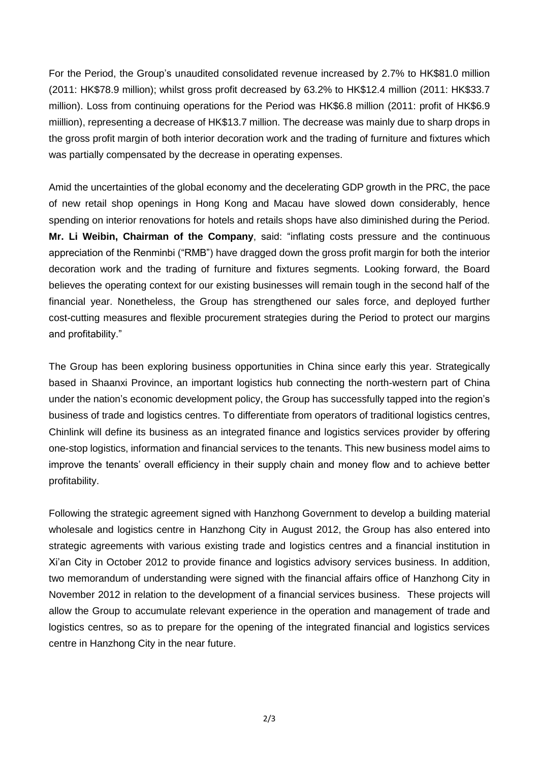For the Period, the Group's unaudited consolidated revenue increased by 2.7% to HK\$81.0 million (2011: HK\$78.9 million); whilst gross profit decreased by 63.2% to HK\$12.4 million (2011: HK\$33.7 million). Loss from continuing operations for the Period was HK\$6.8 million (2011: profit of HK\$6.9 miillion), representing a decrease of HK\$13.7 million. The decrease was mainly due to sharp drops in the gross profit margin of both interior decoration work and the trading of furniture and fixtures which was partially compensated by the decrease in operating expenses.

Amid the uncertainties of the global economy and the decelerating GDP growth in the PRC, the pace of new retail shop openings in Hong Kong and Macau have slowed down considerably, hence spending on interior renovations for hotels and retails shops have also diminished during the Period. **Mr. Li Weibin, Chairman of the Company**, said: "inflating costs pressure and the continuous appreciation of the Renminbi ("RMB") have dragged down the gross profit margin for both the interior decoration work and the trading of furniture and fixtures segments. Looking forward, the Board believes the operating context for our existing businesses will remain tough in the second half of the financial year. Nonetheless, the Group has strengthened our sales force, and deployed further cost-cutting measures and flexible procurement strategies during the Period to protect our margins and profitability."

The Group has been exploring business opportunities in China since early this year. Strategically based in Shaanxi Province, an important logistics hub connecting the north-western part of China under the nation's economic development policy, the Group has successfully tapped into the region's business of trade and logistics centres. To differentiate from operators of traditional logistics centres, Chinlink will define its business as an integrated finance and logistics services provider by offering one-stop logistics, information and financial services to the tenants. This new business model aims to improve the tenants' overall efficiency in their supply chain and money flow and to achieve better profitability.

Following the strategic agreement signed with Hanzhong Government to develop a building material wholesale and logistics centre in Hanzhong City in August 2012, the Group has also entered into strategic agreements with various existing trade and logistics centres and a financial institution in Xi'an City in October 2012 to provide finance and logistics advisory services business. In addition, two memorandum of understanding were signed with the financial affairs office of Hanzhong City in November 2012 in relation to the development of a financial services business. These projects will allow the Group to accumulate relevant experience in the operation and management of trade and logistics centres, so as to prepare for the opening of the integrated financial and logistics services centre in Hanzhong City in the near future.